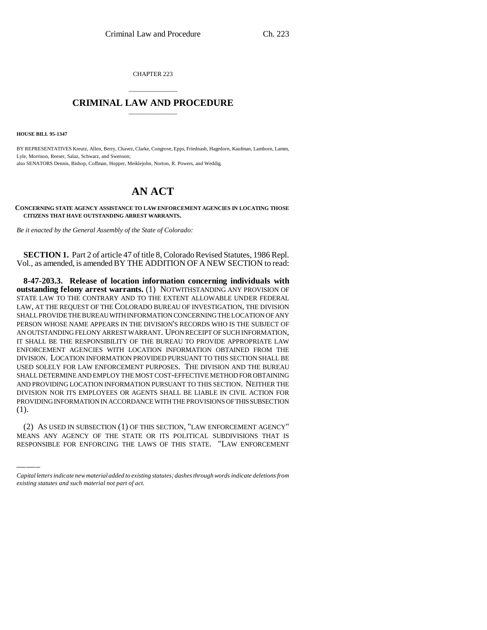CHAPTER 223

## \_\_\_\_\_\_\_\_\_\_\_\_\_\_\_ **CRIMINAL LAW AND PROCEDURE** \_\_\_\_\_\_\_\_\_\_\_\_\_\_\_

**HOUSE BILL 95-1347**

BY REPRESENTATIVES Kreutz, Allen, Berry, Chavez, Clarke, Congrove, Epps, Friednash, Hagedorn, Kaufman, Lamborn, Lamm, Lyle, Morrison, Reeser, Salaz, Schwarz, and Swenson; also SENATORS Dennis, Bishop, Coffman, Hopper, Meiklejohn, Norton, R. Powers, and Weddig.

## **AN ACT**

**CONCERNING STATE AGENCY ASSISTANCE TO LAW ENFORCEMENT AGENCIES IN LOCATING THOSE CITIZENS THAT HAVE OUTSTANDING ARREST WARRANTS.**

*Be it enacted by the General Assembly of the State of Colorado:*

**SECTION 1.** Part 2 of article 47 of title 8, Colorado Revised Statutes, 1986 Repl. Vol., as amended, is amended BY THE ADDITION OF A NEW SECTION to read:

 $\frac{1}{1}$ . **8-47-203.3. Release of location information concerning individuals with outstanding felony arrest warrants.** (1) NOTWITHSTANDING ANY PROVISION OF STATE LAW TO THE CONTRARY AND TO THE EXTENT ALLOWABLE UNDER FEDERAL LAW, AT THE REQUEST OF THE COLORADO BUREAU OF INVESTIGATION, THE DIVISION SHALL PROVIDE THE BUREAU WITH INFORMATION CONCERNING THE LOCATION OF ANY PERSON WHOSE NAME APPEARS IN THE DIVISION'S RECORDS WHO IS THE SUBJECT OF AN OUTSTANDING FELONY ARREST WARRANT. UPON RECEIPT OF SUCH INFORMATION, IT SHALL BE THE RESPONSIBILITY OF THE BUREAU TO PROVIDE APPROPRIATE LAW ENFORCEMENT AGENCIES WITH LOCATION INFORMATION OBTAINED FROM THE DIVISION. LOCATION INFORMATION PROVIDED PURSUANT TO THIS SECTION SHALL BE USED SOLELY FOR LAW ENFORCEMENT PURPOSES. THE DIVISION AND THE BUREAU SHALL DETERMINE AND EMPLOY THE MOST COST-EFFECTIVE METHOD FOR OBTAINING AND PROVIDING LOCATION INFORMATION PURSUANT TO THIS SECTION. NEITHER THE DIVISION NOR ITS EMPLOYEES OR AGENTS SHALL BE LIABLE IN CIVIL ACTION FOR PROVIDING INFORMATION IN ACCORDANCE WITH THE PROVISIONS OF THIS SUBSECTION

(2) AS USED IN SUBSECTION (1) OF THIS SECTION, "LAW ENFORCEMENT AGENCY" MEANS ANY AGENCY OF THE STATE OR ITS POLITICAL SUBDIVISIONS THAT IS RESPONSIBLE FOR ENFORCING THE LAWS OF THIS STATE. "LAW ENFORCEMENT

*Capital letters indicate new material added to existing statutes; dashes through words indicate deletions from existing statutes and such material not part of act.*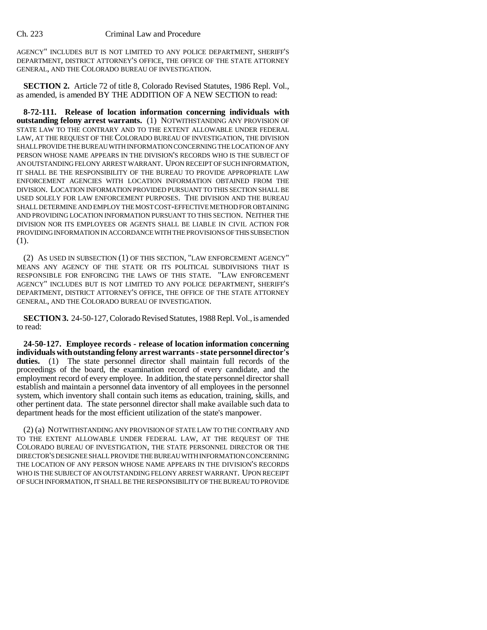AGENCY" INCLUDES BUT IS NOT LIMITED TO ANY POLICE DEPARTMENT, SHERIFF'S DEPARTMENT, DISTRICT ATTORNEY'S OFFICE, THE OFFICE OF THE STATE ATTORNEY GENERAL, AND THE COLORADO BUREAU OF INVESTIGATION.

**SECTION 2.** Article 72 of title 8, Colorado Revised Statutes, 1986 Repl. Vol., as amended, is amended BY THE ADDITION OF A NEW SECTION to read:

**8-72-111. Release of location information concerning individuals with outstanding felony arrest warrants.** (1) NOTWITHSTANDING ANY PROVISION OF STATE LAW TO THE CONTRARY AND TO THE EXTENT ALLOWABLE UNDER FEDERAL LAW, AT THE REQUEST OF THE COLORADO BUREAU OF INVESTIGATION, THE DIVISION SHALL PROVIDE THE BUREAU WITH INFORMATION CONCERNING THE LOCATION OF ANY PERSON WHOSE NAME APPEARS IN THE DIVISION'S RECORDS WHO IS THE SUBJECT OF AN OUTSTANDING FELONY ARREST WARRANT. UPON RECEIPT OF SUCH INFORMATION, IT SHALL BE THE RESPONSIBILITY OF THE BUREAU TO PROVIDE APPROPRIATE LAW ENFORCEMENT AGENCIES WITH LOCATION INFORMATION OBTAINED FROM THE DIVISION. LOCATION INFORMATION PROVIDED PURSUANT TO THIS SECTION SHALL BE USED SOLELY FOR LAW ENFORCEMENT PURPOSES. THE DIVISION AND THE BUREAU SHALL DETERMINE AND EMPLOY THE MOST COST-EFFECTIVE METHOD FOR OBTAINING AND PROVIDING LOCATION INFORMATION PURSUANT TO THIS SECTION. NEITHER THE DIVISION NOR ITS EMPLOYEES OR AGENTS SHALL BE LIABLE IN CIVIL ACTION FOR PROVIDING INFORMATION IN ACCORDANCE WITH THE PROVISIONS OF THIS SUBSECTION (1).

(2) AS USED IN SUBSECTION (1) OF THIS SECTION, "LAW ENFORCEMENT AGENCY" MEANS ANY AGENCY OF THE STATE OR ITS POLITICAL SUBDIVISIONS THAT IS RESPONSIBLE FOR ENFORCING THE LAWS OF THIS STATE. "LAW ENFORCEMENT AGENCY" INCLUDES BUT IS NOT LIMITED TO ANY POLICE DEPARTMENT, SHERIFF'S DEPARTMENT, DISTRICT ATTORNEY'S OFFICE, THE OFFICE OF THE STATE ATTORNEY GENERAL, AND THE COLORADO BUREAU OF INVESTIGATION.

**SECTION 3.** 24-50-127, Colorado Revised Statutes, 1988 Repl. Vol., is amended to read:

**24-50-127. Employee records - release of location information concerning individuals with outstanding felony arrest warrants - state personnel director's duties.** (1) The state personnel director shall maintain full records of the proceedings of the board, the examination record of every candidate, and the employment record of every employee. In addition, the state personnel director shall establish and maintain a personnel data inventory of all employees in the personnel system, which inventory shall contain such items as education, training, skills, and other pertinent data. The state personnel director shall make available such data to department heads for the most efficient utilization of the state's manpower.

(2) (a) NOTWITHSTANDING ANY PROVISION OF STATE LAW TO THE CONTRARY AND TO THE EXTENT ALLOWABLE UNDER FEDERAL LAW, AT THE REQUEST OF THE COLORADO BUREAU OF INVESTIGATION, THE STATE PERSONNEL DIRECTOR OR THE DIRECTOR'S DESIGNEE SHALL PROVIDE THE BUREAU WITH INFORMATION CONCERNING THE LOCATION OF ANY PERSON WHOSE NAME APPEARS IN THE DIVISION'S RECORDS WHO IS THE SUBJECT OF AN OUTSTANDING FELONY ARREST WARRANT. UPON RECEIPT OF SUCH INFORMATION, IT SHALL BE THE RESPONSIBILITY OF THE BUREAU TO PROVIDE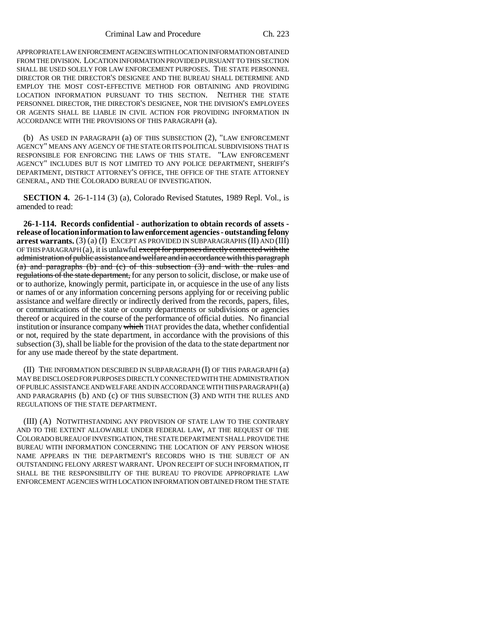APPROPRIATE LAW ENFORCEMENT AGENCIES WITH LOCATION INFORMATION OBTAINED FROM THE DIVISION. LOCATION INFORMATION PROVIDED PURSUANT TO THIS SECTION SHALL BE USED SOLELY FOR LAW ENFORCEMENT PURPOSES. THE STATE PERSONNEL DIRECTOR OR THE DIRECTOR'S DESIGNEE AND THE BUREAU SHALL DETERMINE AND EMPLOY THE MOST COST-EFFECTIVE METHOD FOR OBTAINING AND PROVIDING LOCATION INFORMATION PURSUANT TO THIS SECTION. NEITHER THE STATE PERSONNEL DIRECTOR, THE DIRECTOR'S DESIGNEE, NOR THE DIVISION'S EMPLOYEES OR AGENTS SHALL BE LIABLE IN CIVIL ACTION FOR PROVIDING INFORMATION IN ACCORDANCE WITH THE PROVISIONS OF THIS PARAGRAPH (a).

(b) AS USED IN PARAGRAPH (a) OF THIS SUBSECTION (2), "LAW ENFORCEMENT AGENCY" MEANS ANY AGENCY OF THE STATE OR ITS POLITICAL SUBDIVISIONS THAT IS RESPONSIBLE FOR ENFORCING THE LAWS OF THIS STATE. "LAW ENFORCEMENT AGENCY" INCLUDES BUT IS NOT LIMITED TO ANY POLICE DEPARTMENT, SHERIFF'S DEPARTMENT, DISTRICT ATTORNEY'S OFFICE, THE OFFICE OF THE STATE ATTORNEY GENERAL, AND THE COLORADO BUREAU OF INVESTIGATION.

**SECTION 4.** 26-1-114 (3) (a), Colorado Revised Statutes, 1989 Repl. Vol., is amended to read:

**26-1-114. Records confidential - authorization to obtain records of assets release of location information to law enforcement agencies - outstanding felony arrest warrants.** (3) (a) (I) EXCEPT AS PROVIDED IN SUBPARAGRAPHS (II) AND (III) OF THIS PARAGRAPH  $(a)$ , it is unlawful except for purposes directly connected with the administration of public assistance and welfare and in accordance with this paragraph (a) and paragraphs (b) and (c) of this subsection (3) and with the rules and regulations of the state department, for any person to solicit, disclose, or make use of or to authorize, knowingly permit, participate in, or acquiesce in the use of any lists or names of or any information concerning persons applying for or receiving public assistance and welfare directly or indirectly derived from the records, papers, files, or communications of the state or county departments or subdivisions or agencies thereof or acquired in the course of the performance of official duties. No financial institution or insurance company which THAT provides the data, whether confidential or not, required by the state department, in accordance with the provisions of this subsection (3), shall be liable for the provision of the data to the state department nor for any use made thereof by the state department.

(II) THE INFORMATION DESCRIBED IN SUBPARAGRAPH (I) OF THIS PARAGRAPH (a) MAY BE DISCLOSED FOR PURPOSES DIRECTLY CONNECTED WITH THE ADMINISTRATION OF PUBLIC ASSISTANCE AND WELFARE AND IN ACCORDANCE WITH THIS PARAGRAPH (a) AND PARAGRAPHS (b) AND (c) OF THIS SUBSECTION (3) AND WITH THE RULES AND REGULATIONS OF THE STATE DEPARTMENT.

(III) (A) NOTWITHSTANDING ANY PROVISION OF STATE LAW TO THE CONTRARY AND TO THE EXTENT ALLOWABLE UNDER FEDERAL LAW, AT THE REQUEST OF THE COLORADO BUREAU OF INVESTIGATION, THE STATE DEPARTMENT SHALL PROVIDE THE BUREAU WITH INFORMATION CONCERNING THE LOCATION OF ANY PERSON WHOSE NAME APPEARS IN THE DEPARTMENT'S RECORDS WHO IS THE SUBJECT OF AN OUTSTANDING FELONY ARREST WARRANT. UPON RECEIPT OF SUCH INFORMATION, IT SHALL BE THE RESPONSIBILITY OF THE BUREAU TO PROVIDE APPROPRIATE LAW ENFORCEMENT AGENCIES WITH LOCATION INFORMATION OBTAINED FROM THE STATE